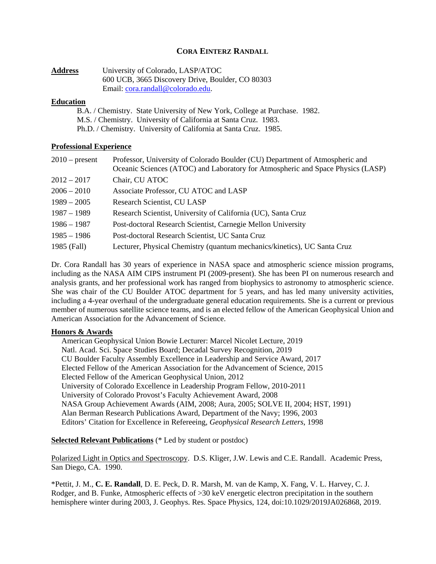# **CORA EINTERZ RANDALL**

| <b>Address</b> | University of Colorado, LASP/ATOC                |
|----------------|--------------------------------------------------|
|                | 600 UCB, 3665 Discovery Drive, Boulder, CO 80303 |
|                | Email: cora.randall@colorado.edu.                |

### **Education**

B.A. / Chemistry. State University of New York, College at Purchase. 1982. M.S. / Chemistry. University of California at Santa Cruz. 1983. Ph.D. / Chemistry. University of California at Santa Cruz. 1985.

## **Professional Experience**

| $2010$ – present | Professor, University of Colorado Boulder (CU) Department of Atmospheric and<br>Oceanic Sciences (ATOC) and Laboratory for Atmospheric and Space Physics (LASP) |
|------------------|-----------------------------------------------------------------------------------------------------------------------------------------------------------------|
| $2012 - 2017$    | Chair, CU ATOC                                                                                                                                                  |
| $2006 - 2010$    | Associate Professor, CU ATOC and LASP                                                                                                                           |
| $1989 - 2005$    | Research Scientist, CU LASP                                                                                                                                     |
| $1987 - 1989$    | Research Scientist, University of California (UC), Santa Cruz                                                                                                   |
| $1986 - 1987$    | Post-doctoral Research Scientist, Carnegie Mellon University                                                                                                    |
| $1985 - 1986$    | Post-doctoral Research Scientist, UC Santa Cruz                                                                                                                 |
| 1985 (Fall)      | Lecturer, Physical Chemistry (quantum mechanics/kinetics), UC Santa Cruz                                                                                        |

Dr. Cora Randall has 30 years of experience in NASA space and atmospheric science mission programs, including as the NASA AIM CIPS instrument PI (2009-present). She has been PI on numerous research and analysis grants, and her professional work has ranged from biophysics to astronomy to atmospheric science. She was chair of the CU Boulder ATOC department for 5 years, and has led many university activities, including a 4-year overhaul of the undergraduate general education requirements. She is a current or previous member of numerous satellite science teams, and is an elected fellow of the American Geophysical Union and American Association for the Advancement of Science.

## **Honors & Awards**

American Geophysical Union Bowie Lecturer: Marcel Nicolet Lecture, 2019 Natl. Acad. Sci. Space Studies Board; Decadal Survey Recognition, 2019 CU Boulder Faculty Assembly Excellence in Leadership and Service Award, 2017 Elected Fellow of the American Association for the Advancement of Science, 2015 Elected Fellow of the American Geophysical Union, 2012 University of Colorado Excellence in Leadership Program Fellow, 2010-2011 University of Colorado Provost's Faculty Achievement Award, 2008 NASA Group Achievement Awards (AIM, 2008; Aura, 2005; SOLVE II, 2004; HST, 1991) Alan Berman Research Publications Award, Department of the Navy; 1996, 2003 Editors' Citation for Excellence in Refereeing, *Geophysical Research Letters*, 1998

## **Selected Relevant Publications** (\* Led by student or postdoc)

Polarized Light in Optics and Spectroscopy. D.S. Kliger, J.W. Lewis and C.E. Randall. Academic Press, San Diego, CA. 1990.

\*Pettit, J. M., **C. E. Randall**, D. E. Peck, D. R. Marsh, M. van de Kamp, X. Fang, V. L. Harvey, C. J. Rodger, and B. Funke, Atmospheric effects of >30 keV energetic electron precipitation in the southern hemisphere winter during 2003, J. Geophys. Res. Space Physics, 124, doi:10.1029/2019JA026868, 2019.